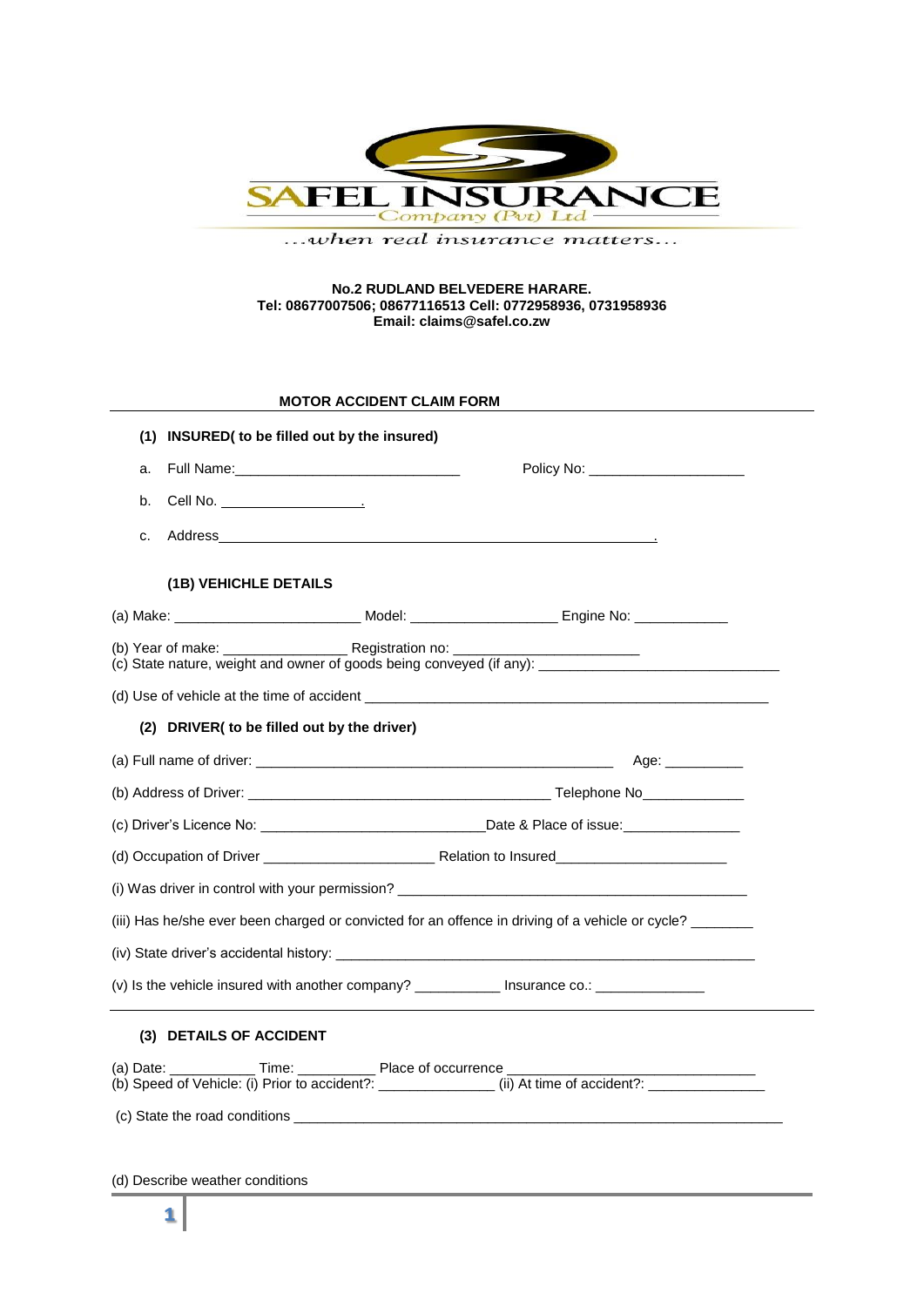

...when real insurance matters...

### **No.2 RUDLAND BELVEDERE HARARE. Tel: 08677007506; 08677116513 Cell: 0772958936, 0731958936 Email: claims@safel.co.zw**

# **MOTOR ACCIDENT CLAIM FORM**

|    | (1) INSURED( to be filled out by the insured)                                                                                                                                                                                 |                                                                                                  |
|----|-------------------------------------------------------------------------------------------------------------------------------------------------------------------------------------------------------------------------------|--------------------------------------------------------------------------------------------------|
| a. |                                                                                                                                                                                                                               | Policy No: ______________________                                                                |
| b. |                                                                                                                                                                                                                               |                                                                                                  |
| c. |                                                                                                                                                                                                                               |                                                                                                  |
|    | (1B) VEHICHLE DETAILS                                                                                                                                                                                                         |                                                                                                  |
|    |                                                                                                                                                                                                                               |                                                                                                  |
|    |                                                                                                                                                                                                                               |                                                                                                  |
|    |                                                                                                                                                                                                                               |                                                                                                  |
|    | (2) DRIVER( to be filled out by the driver)                                                                                                                                                                                   |                                                                                                  |
|    |                                                                                                                                                                                                                               |                                                                                                  |
|    |                                                                                                                                                                                                                               |                                                                                                  |
|    |                                                                                                                                                                                                                               |                                                                                                  |
|    |                                                                                                                                                                                                                               |                                                                                                  |
|    |                                                                                                                                                                                                                               |                                                                                                  |
|    |                                                                                                                                                                                                                               | (iii) Has he/she ever been charged or convicted for an offence in driving of a vehicle or cycle? |
|    |                                                                                                                                                                                                                               |                                                                                                  |
|    | (iv) State driver's accidental history: the state of the state of the state of the state of the state of the state of the state of the state of the state of the state of the state of the state of the state of the state of |                                                                                                  |
|    |                                                                                                                                                                                                                               |                                                                                                  |
|    | (3) DETAILS OF ACCIDENT                                                                                                                                                                                                       |                                                                                                  |
|    | (a) Date: _______________ Time: _______________ Place of occurrence ___________________                                                                                                                                       |                                                                                                  |

(d) Describe weather conditions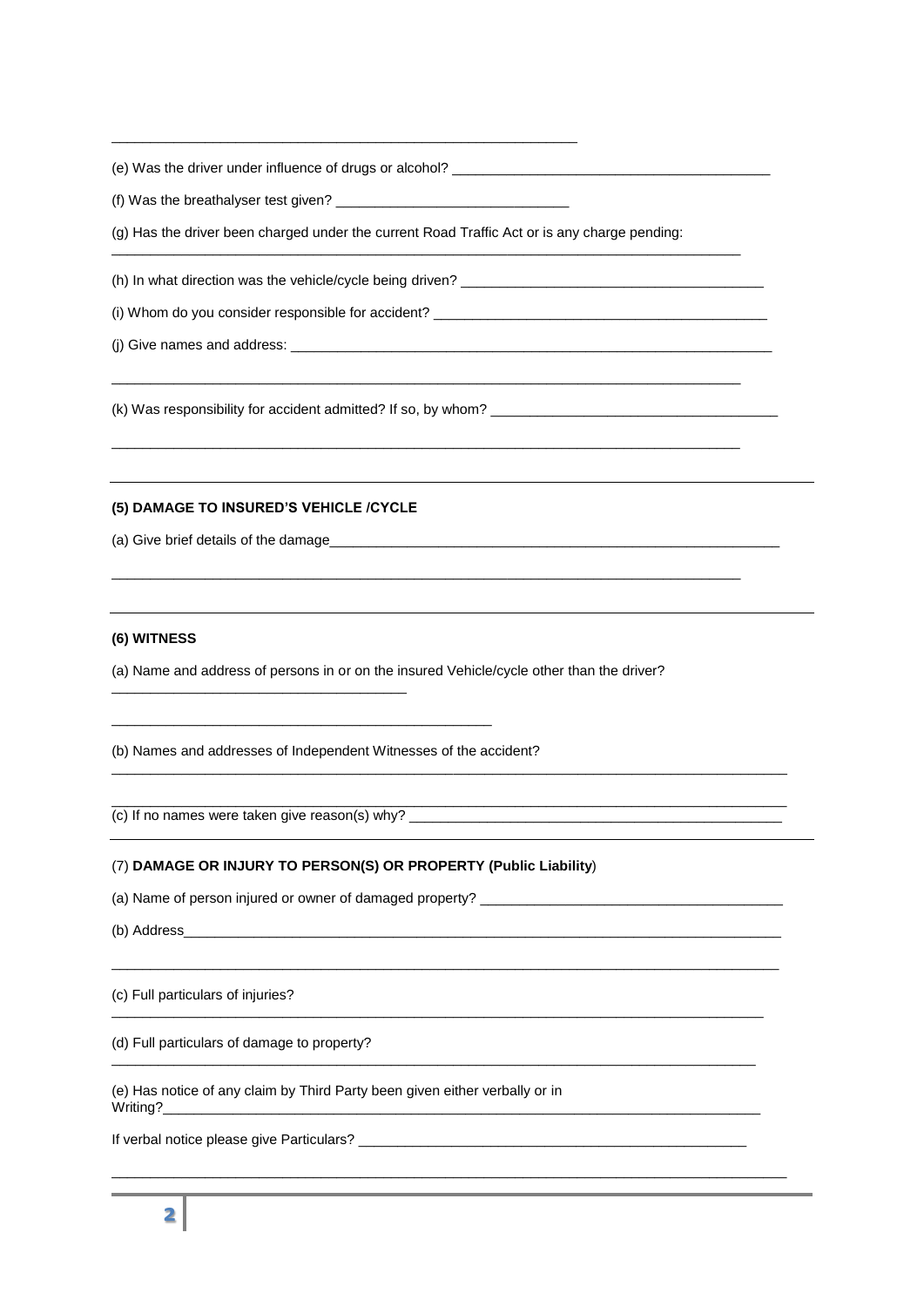(e) Was the driver under influence of drugs or alcohol? \_\_\_\_\_\_\_\_\_\_\_\_\_\_\_\_\_\_\_\_\_\_\_\_

\_\_\_\_\_\_\_\_\_\_\_\_\_\_\_\_\_\_\_\_\_\_\_\_\_\_\_\_\_\_\_\_\_\_\_\_\_\_\_\_\_\_\_\_\_\_\_\_\_\_\_\_\_\_\_\_\_\_\_\_

(f) Was the breathalyser test given?

(g) Has the driver been charged under the current Road Traffic Act or is any charge pending:

\_\_\_\_\_\_\_\_\_\_\_\_\_\_\_\_\_\_\_\_\_\_\_\_\_\_\_\_\_\_\_\_\_\_\_\_\_\_\_\_\_\_\_\_\_\_\_\_\_\_\_\_\_\_\_\_\_\_\_\_\_\_\_\_\_\_\_\_\_\_\_\_\_\_\_\_\_\_\_\_\_

\_\_\_\_\_\_\_\_\_\_\_\_\_\_\_\_\_\_\_\_\_\_\_\_\_\_\_\_\_\_\_\_\_\_\_\_\_\_\_\_\_\_\_\_\_\_\_\_\_\_\_\_\_\_\_\_\_\_\_\_\_\_\_\_\_\_\_\_\_\_\_\_\_\_\_\_\_\_\_\_\_

\_\_\_\_\_\_\_\_\_\_\_\_\_\_\_\_\_\_\_\_\_\_\_\_\_\_\_\_\_\_\_\_\_\_\_\_\_\_\_\_\_\_\_\_\_\_\_\_\_\_\_\_\_\_\_\_\_\_\_\_\_\_\_\_\_\_\_\_\_\_\_\_\_\_\_\_\_\_\_\_\_

\_\_\_\_\_\_\_\_\_\_\_\_\_\_\_\_\_\_\_\_\_\_\_\_\_\_\_\_\_\_\_\_\_\_\_\_\_\_\_\_\_\_\_\_\_\_\_\_\_\_\_\_\_\_\_\_\_\_\_\_\_\_\_\_\_\_\_\_\_\_\_\_\_\_\_\_\_\_\_\_\_

\_\_\_\_\_\_\_\_\_\_\_\_\_\_\_\_\_\_\_\_\_\_\_\_\_\_\_\_\_\_\_\_\_\_\_\_\_\_\_\_\_\_\_\_\_\_\_\_\_\_\_\_\_\_\_\_\_\_\_\_\_\_\_\_\_\_\_\_\_\_\_\_\_\_\_\_\_\_\_\_\_\_\_\_\_\_\_

\_\_\_\_\_\_\_\_\_\_\_\_\_\_\_\_\_\_\_\_\_\_\_\_\_\_\_\_\_\_\_\_\_\_\_\_\_\_\_\_\_\_\_\_\_\_\_\_\_\_\_\_\_\_\_\_\_\_\_\_\_\_\_\_\_\_\_\_\_\_\_\_\_\_\_\_\_\_\_\_\_\_\_\_\_\_\_

 $\_$  ,  $\_$  ,  $\_$  ,  $\_$  ,  $\_$  ,  $\_$  ,  $\_$  ,  $\_$  ,  $\_$  ,  $\_$  ,  $\_$  ,  $\_$  ,  $\_$  ,  $\_$  ,  $\_$  ,  $\_$  ,  $\_$  ,  $\_$  ,  $\_$  ,  $\_$  ,  $\_$  ,  $\_$  ,  $\_$  ,  $\_$  ,  $\_$  ,  $\_$  ,  $\_$  ,  $\_$  ,  $\_$  ,  $\_$  ,  $\_$  ,  $\_$  ,  $\_$  ,  $\_$  ,  $\_$  ,  $\_$  ,  $\_$  ,

\_\_\_\_\_\_\_\_\_\_\_\_\_\_\_\_\_\_\_\_\_\_\_\_\_\_\_\_\_\_\_\_\_\_\_\_\_\_\_\_\_\_\_\_\_\_\_\_\_\_\_\_\_\_\_\_\_\_\_\_\_\_\_\_\_\_\_\_\_\_\_\_\_\_\_\_\_\_\_\_\_\_\_\_

\_\_\_\_\_\_\_\_\_\_\_\_\_\_\_\_\_\_\_\_\_\_\_\_\_\_\_\_\_\_\_\_\_\_\_\_\_\_\_\_\_\_\_\_\_\_\_\_\_\_\_\_\_\_\_\_\_\_\_\_\_\_\_\_\_\_\_\_\_\_\_\_\_\_\_\_\_\_\_\_\_\_\_

\_\_\_\_\_\_\_\_\_\_\_\_\_\_\_\_\_\_\_\_\_\_\_\_\_\_\_\_\_\_\_\_\_\_\_\_\_\_\_\_\_\_\_\_\_\_\_\_\_\_\_\_\_\_\_\_\_\_\_\_\_\_\_\_\_\_\_\_\_\_\_\_\_\_\_\_\_\_\_\_\_\_\_\_\_\_\_

(h) In what direction was the vehicle/cycle being driven? \_\_\_\_\_\_\_\_\_\_\_\_\_\_\_\_\_\_\_\_\_\_

(i) Whom do you consider responsible for accident? \_\_\_\_\_\_\_\_\_\_\_\_\_\_\_\_\_\_\_\_\_\_\_\_\_\_\_\_\_

 $(i)$  Give names and address:

(k) Was responsibility for accident admitted? If so, by whom? \_\_\_\_\_\_\_\_\_\_\_\_\_\_\_\_\_\_

# **(5) DAMAGE TO INSURED'S VEHICLE /CYCLE**

(a) Give brief details of the damage

## **(6) WITNESS**

(a) Name and address of persons in or on the insured Vehicle/cycle other than the driver?

(b) Names and addresses of Independent Witnesses of the accident?

\_\_\_\_\_\_\_\_\_\_\_\_\_\_\_\_\_\_\_\_\_\_\_\_\_\_\_\_\_\_\_\_\_\_\_\_\_\_\_\_\_\_\_\_\_\_\_\_\_

(c) If no names were taken give reason(s) why?  $\_\_$ 

\_\_\_\_\_\_\_\_\_\_\_\_\_\_\_\_\_\_\_\_\_\_\_\_\_\_\_\_\_\_\_\_\_\_\_\_\_\_

## (7) **DAMAGE OR INJURY TO PERSON(S) OR PROPERTY (Public Liability**)

(a) Name of person injured or owner of damaged property? \_\_\_\_\_\_\_\_\_\_\_\_\_\_\_\_\_\_\_\_\_\_\_

(b) Address\_\_\_\_\_\_\_\_\_\_\_\_\_\_\_\_\_\_\_\_\_\_\_\_\_\_\_\_\_\_\_\_\_\_\_\_\_\_\_\_\_\_\_\_\_\_\_\_\_\_\_\_\_\_\_\_\_\_\_\_\_\_\_\_\_\_\_\_\_\_\_\_\_\_\_\_\_

(c) Full particulars of injuries?

(d) Full particulars of damage to property?

(e) Has notice of any claim by Third Party been given either verbally or in Writing?\_\_\_\_\_\_\_\_\_\_\_\_\_\_\_\_\_\_\_\_\_\_\_\_\_\_\_\_\_\_\_\_\_\_\_\_\_\_\_\_\_\_\_\_\_\_\_\_\_\_\_\_\_\_\_\_\_\_\_\_\_\_\_\_\_\_\_\_\_\_\_\_\_\_\_\_\_

If verbal notice please give Particulars? \_\_\_\_\_\_\_\_\_\_\_\_\_\_\_\_\_\_\_\_\_\_\_\_\_\_\_\_\_\_\_\_\_\_\_\_\_\_\_\_\_\_\_\_\_\_\_\_\_\_